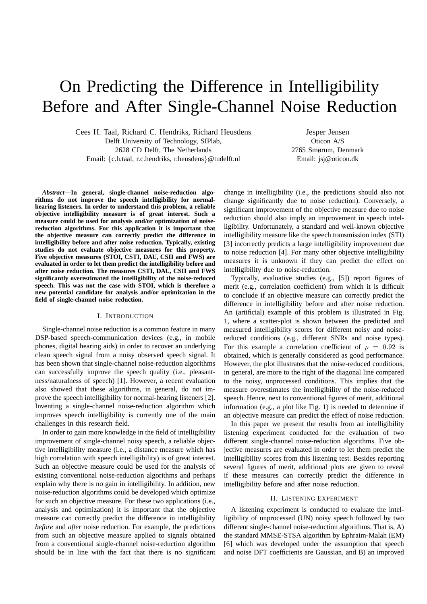# On Predicting the Difference in Intelligibility Before and After Single-Channel Noise Reduction

Cees H. Taal, Richard C. Hendriks, Richard Heusdens Delft University of Technology, SIPlab, 2628 CD Delft, The Netherlands Email: {c.h.taal, r.c.hendriks, r.heusdens}@tudelft.nl

Jesper Jensen Oticon A/S 2765 Smørum, Denmark Email: jsj@oticon.dk

*Abstract***—In general, single-channel noise-reduction algorithms do not improve the speech intelligibility for normalhearing listeners. In order to understand this problem, a reliable objective intelligibility measure is of great interest. Such a measure could be used for analysis and/or optimization of noisereduction algorithms. For this application it is important that the objective measure can correctly predict the difference in intelligibility before and after noise reduction. Typically, existing studies do not evaluate objective measures for this property. Five objective measures (STOI, CSTI, DAU, CSII and FWS) are evaluated in order to let them predict the intelligibility before and after noise reduction. The measures CSTI, DAU, CSII and FWS significantly overestimated the intelligibility of the noise-reduced speech. This was not the case with STOI, which is therefore a new potential candidate for analysis and/or optimization in the field of single-channel noise reduction.**

#### I. INTRODUCTION

Single-channel noise reduction is a common feature in many DSP-based speech-communication devices (e.g., in mobile phones, digital hearing aids) in order to recover an underlying clean speech signal from a noisy observed speech signal. It has been shown that single-channel noise-reduction algorithms can successfully improve the speech quality (i.e., pleasantness/naturalness of speech) [1]. However, a recent evaluation also showed that these algorithms, in general, do not improve the speech intelligibility for normal-hearing listeners [2]. Inventing a single-channel noise-reduction algorithm which improves speech intelligibility is currently one of the main challenges in this research field.

In order to gain more knowledge in the field of intelligibility improvement of single-channel noisy speech, a reliable objective intelligibility measure (i.e., a distance measure which has high correlation with speech intelligibility) is of great interest. Such an objective measure could be used for the analysis of existing conventional noise-reduction algorithms and perhaps explain why there is no gain in intelligibility. In addition, new noise-reduction algorithms could be developed which optimize for such an objective measure. For these two applications (i.e., analysis and optimization) it is important that the objective measure can correctly predict the difference in intelligibility *before* and *after* noise reduction. For example, the predictions from such an objective measure applied to signals obtained from a conventional single-channel noise-reduction algorithm should be in line with the fact that there is no significant

change in intelligibility (i.e., the predictions should also not change significantly due to noise reduction). Conversely, a significant improvement of the objective measure due to noise reduction should also imply an improvement in speech intelligibility. Unfortunately, a standard and well-known objective intelligibility measure like the speech transmission index (STI) [3] incorrectly predicts a large intelligibility improvement due to noise reduction [4]. For many other objective intelligibility measures it is unknown if they can predict the effect on intelligibility due to noise-reduction.

Typically, evaluative studies (e.g., [5]) report figures of merit (e.g., correlation coefficient) from which it is difficult to conclude if an objective measure can correctly predict the difference in intelligibility before and after noise reduction. An (artificial) example of this problem is illustrated in Fig. 1, where a scatter-plot is shown between the predicted and measured intelligibility scores for different noisy and noisereduced conditions (e.g., different SNRs and noise types). For this example a correlation coefficient of  $\rho = 0.92$  is obtained, which is generally considered as good performance. However, the plot illustrates that the noise-reduced conditions, in general, are more to the right of the diagonal line compared to the noisy, unprocessed conditions. This implies that the measure overestimates the intelligibility of the noise-reduced speech. Hence, next to conventional figures of merit, additional information (e.g., a plot like Fig. 1) is needed to determine if an objective measure can predict the effect of noise reduction.

In this paper we present the results from an intelligibility listening experiment conducted for the evaluation of two different single-channel noise-reduction algorithms. Five objective measures are evaluated in order to let them predict the intelligibility scores from this listening test. Besides reporting several figures of merit, additional plots are given to reveal if these measures can correctly predict the difference in intelligibility before and after noise reduction.

#### II. LISTENING EXPERIMENT

A listening experiment is conducted to evaluate the intelligibility of unprocessed (UN) noisy speech followed by two different single-channel noise-reduction algorithms. That is, A) the standard MMSE-STSA algorithm by Ephraim-Malah (EM) [6] which was developed under the assumption that speech and noise DFT coefficients are Gaussian, and B) an improved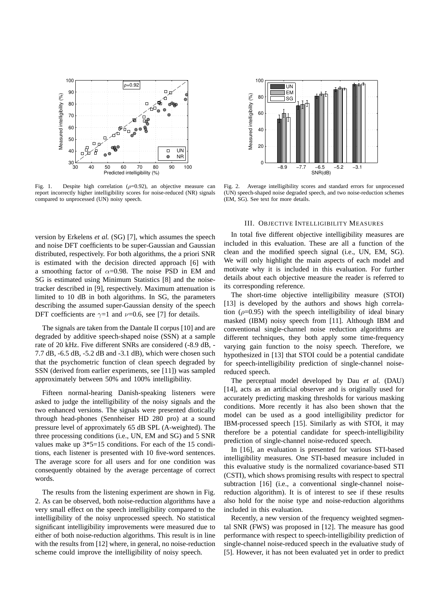

Fig. 1. Despite high correlation ( $\rho$ =0.92), an objective measure can report incorrectly higher intelligibility scores for noise-reduced (NR) signals compared to unprocessed (UN) noisy speech.

Measured intelligibility (%) Measured intelligibility 60  $40$  $\overline{2}$  $\Omega$ −8.9 −7.7 −6.5 −5.2 −3.1 SNR(dB)

80

 $(%)$ 

UN EM SG

100

Fig. 2. Average intelligibility scores and standard errors for unprocessed (UN) speech-shaped noise degraded speech, and two noise-reduction schemes (EM, SG). See text for more details.

## version by Erkelens *et al.* (SG) [7], which assumes the speech and noise DFT coefficients to be super-Gaussian and Gaussian distributed, respectively. For both algorithms, the a priori SNR is estimated with the decision directed approach [6] with a smoothing factor of  $\alpha$ =0.98. The noise PSD in EM and SG is estimated using Minimum Statistics [8] and the noisetracker described in [9], respectively. Maximum attenuation is limited to 10 dB in both algorithms. In SG, the parameters describing the assumed super-Gaussian density of the speech DFT coefficients are  $\gamma=1$  and  $\nu=0.6$ , see [7] for details.

The signals are taken from the Dantale II corpus [10] and are degraded by additive speech-shaped noise (SSN) at a sample rate of 20 kHz. Five different SNRs are considered (-8.9 dB, - 7.7 dB, -6.5 dB, -5.2 dB and -3.1 dB), which were chosen such that the psychometric function of clean speech degraded by SSN (derived from earlier experiments, see [11]) was sampled approximately between 50% and 100% intelligibility.

Fifteen normal-hearing Danish-speaking listeners were asked to judge the intelligibility of the noisy signals and the two enhanced versions. The signals were presented diotically through head-phones (Sennheiser HD 280 pro) at a sound pressure level of approximately 65 dB SPL (A-weighted). The three processing conditions (i.e., UN, EM and SG) and 5 SNR values make up  $3*5=15$  conditions. For each of the 15 conditions, each listener is presented with 10 five-word sentences. The average score for all users and for one condition was consequently obtained by the average percentage of correct words.

The results from the listening experiment are shown in Fig. 2. As can be observed, both noise-reduction algorithms have a very small effect on the speech intelligibility compared to the intelligibility of the noisy unprocessed speech. No statistical significant intelligibility improvements were measured due to either of both noise-reduction algorithms. This result is in line with the results from [12] where, in general, no noise-reduction scheme could improve the intelligibility of noisy speech.

## III. OBJECTIVE INTELLIGIBILITY MEASURES

In total five different objective intelligibility measures are included in this evaluation. These are all a function of the clean and the modified speech signal (i.e., UN, EM, SG). We will only highlight the main aspects of each model and motivate why it is included in this evaluation. For further details about each objective measure the reader is referred to its corresponding reference.

The short-time objective intelligibility measure (STOI) [13] is developed by the authors and shows high correlation ( $\rho$ =0.95) with the speech intelligibility of ideal binary masked (IBM) noisy speech from [11]. Although IBM and conventional single-channel noise reduction algorithms are different techniques, they both apply some time-frequency varying gain function to the noisy speech. Therefore, we hypothesized in [13] that STOI could be a potential candidate for speech-intelligibility prediction of single-channel noisereduced speech.

The perceptual model developed by Dau *et al.* (DAU) [14], acts as an artificial observer and is originally used for accurately predicting masking thresholds for various masking conditions. More recently it has also been shown that the model can be used as a good intelligibility predictor for IBM-processed speech [15]. Similarly as with STOI, it may therefore be a potential candidate for speech-intelligibility prediction of single-channel noise-reduced speech.

In [16], an evaluation is presented for various STI-based intelligibility measures. One STI-based measure included in this evaluative study is the normalized covariance-based STI (CSTI), which shows promising results with respect to spectral subtraction [16] (i.e., a conventional single-channel noisereduction algorithm). It is of interest to see if these results also hold for the noise type and noise-reduction algorithms included in this evaluation.

Recently, a new version of the frequency weighted segmental SNR (FWS) was proposed in [12]. The measure has good performance with respect to speech-intelligibility prediction of single-channel noise-reduced speech in the evaluative study of [5]. However, it has not been evaluated yet in order to predict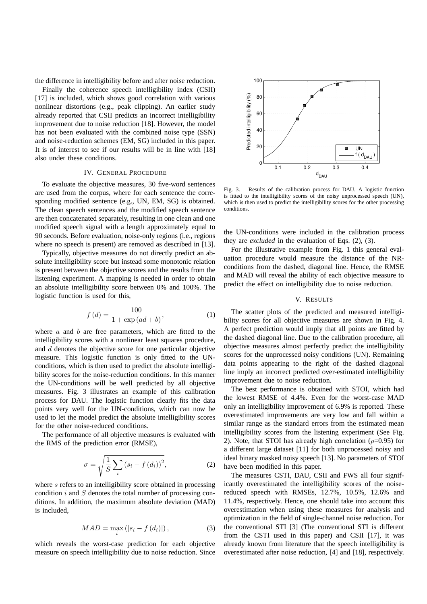the difference in intelligibility before and after noise reduction.

Finally the coherence speech intelligibility index (CSII) [17] is included, which shows good correlation with various nonlinear distortions (e.g., peak clipping). An earlier study already reported that CSII predicts an incorrect intelligibility improvement due to noise reduction [18]. However, the model has not been evaluated with the combined noise type (SSN) and noise-reduction schemes (EM, SG) included in this paper. It is of interest to see if our results will be in line with [18] also under these conditions.

#### IV. GENERAL PROCEDURE

To evaluate the objective measures, 30 five-word sentences are used from the corpus, where for each sentence the corresponding modified sentence (e.g., UN, EM, SG) is obtained. The clean speech sentences and the modified speech sentence are then concatenated separately, resulting in one clean and one modified speech signal with a length approximately equal to 90 seconds. Before evaluation, noise-only regions (i.e., regions where no speech is present) are removed as described in [13].

Typically, objective measures do not directly predict an absolute intelligibility score but instead some monotonic relation is present between the objective scores and the results from the listening experiment. A mapping is needed in order to obtain an absolute intelligibility score between 0% and 100%. The logistic function is used for this,

$$
f(d) = \frac{100}{1 + \exp(ad + b)},
$$
 (1)

where  $a$  and  $b$  are free parameters, which are fitted to the intelligibility scores with a nonlinear least squares procedure, and  $d$  denotes the objective score for one particular objective measure. This logistic function is only fitted to the UNconditions, which is then used to predict the absolute intelligibility scores for the noise-reduction conditions. In this manner the UN-conditions will be well predicted by all objective measures. Fig. 3 illustrates an example of this calibration process for DAU. The logistic function clearly fits the data points very well for the UN-conditions, which can now be used to let the model predict the absolute intelligibility scores for the other noise-reduced conditions.

The performance of all objective measures is evaluated with the RMS of the prediction error (RMSE),

$$
\sigma = \sqrt{\frac{1}{S} \sum_{i} (s_i - f(d_i))^2},\tag{2}
$$

where s refers to an intelligibility score obtained in processing condition  $i$  and  $S$  denotes the total number of processing conditions. In addition, the maximum absolute deviation (MAD) is included,

$$
MAD = \max_{i} \left( |s_i - f(d_i)| \right),\tag{3}
$$

which reveals the worst-case prediction for each objective measure on speech intelligibility due to noise reduction. Since



Fig. 3. Results of the calibration process for DAU. A logistic function is fitted to the intelligibility scores of the noisy unprocessed speech (UN), which is then used to predict the intelligibility scores for the other processing conditions.

the UN-conditions were included in the calibration process they are *excluded* in the evaluation of Eqs. (2), (3).

For the illustrative example from Fig. 1 this general evaluation procedure would measure the distance of the NRconditions from the dashed, diagonal line. Hence, the RMSE and MAD will reveal the ability of each objective measure to predict the effect on intelligibility due to noise reduction.

#### V. RESULTS

The scatter plots of the predicted and measured intelligibility scores for all objective measures are shown in Fig. 4. A perfect prediction would imply that all points are fitted by the dashed diagonal line. Due to the calibration procedure, all objective measures almost perfectly predict the intelligibility scores for the unprocessed noisy conditions (UN). Remaining data points appearing to the right of the dashed diagonal line imply an incorrect predicted over-estimated intelligibility improvement due to noise reduction.

The best performance is obtained with STOI, which had the lowest RMSE of 4.4%. Even for the worst-case MAD only an intelligibility improvement of 6.9% is reported. These overestimated improvements are very low and fall within a similar range as the standard errors from the estimated mean intelligibility scores from the listening experiment (See Fig. 2). Note, that STOI has already high correlation ( $\rho$ =0.95) for a different large dataset [11] for both unprocessed noisy and ideal binary masked noisy speech [13]. No parameters of STOI have been modified in this paper.

The measures CSTI, DAU, CSII and FWS all four significantly overestimated the intelligibility scores of the noisereduced speech with RMSEs, 12.7%, 10.5%, 12.6% and 11.4%, respectively. Hence, one should take into account this overestimation when using these measures for analysis and optimization in the field of single-channel noise reduction. For the conventional STI [3] (The conventional STI is different from the CSTI used in this paper) and CSII [17], it was already known from literature that the speech intelligibility is overestimated after noise reduction, [4] and [18], respectively.